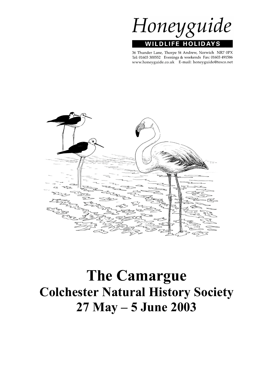

36 Thunder Lane, Thorpe St Andrew, Norwich NR7 0PX Tel: 01603 300552 Evenings & weekends Fax: 01603 491586 www.honeyguide.co.uk E-mail: honeyguide@tesco.net



# **The Camargue Colchester Natural History Society 27 May – 5 June 2003**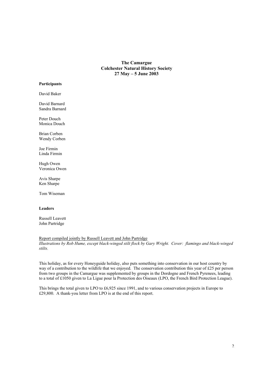**The Camargue Colchester Natural History Society 27 May – 5 June 2003**

#### **Participants**

David Baker

David Barnard Sandra Barnard

Peter Douch Monica Douch

Brian Corben Wendy Corben

Joe Firmin Linda Firmin

Hugh Owen Veronica Owen

Avis Sharpe Ken Sharpe

Tom Wiseman

#### **Leaders**

Russell Leavett John Partridge

Report compiled jointly by Russell Leavett and John Partridge *Illustrations by Rob Hume, except black-winged stilt flock by Gary Wright. Cover: flamingo and black-winged stilts.*

This holiday, as for every Honeyguide holiday, also puts something into conservation in our host country by way of a contribution to the wildlife that we enjoyed. The conservation contribution this year of £25 per person from two groups in the Camargue was supplemented by groups in the Dordogne and French Pyrenees, leading to a total of £1050 given to La Ligue pour la Protection des Oiseaux (LPO, the French Bird Protection League).

This brings the total given to LPO to £6,925 since 1991, and to various conservation projects in Europe to £29,800. A thank-you letter from LPO is at the end of this report.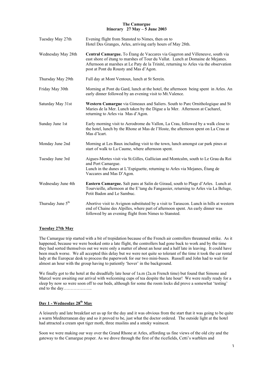#### **The Camargue Itinerary 27 May – 5 June 2003**

| Tuesday May 27th              | Evening flight from Stansted to Nimes, then on to<br>Hotel Des Granges, Arles, arriving early hours of May 28th.                                                                                                                                                                                  |  |
|-------------------------------|---------------------------------------------------------------------------------------------------------------------------------------------------------------------------------------------------------------------------------------------------------------------------------------------------|--|
| Wednesday May 28th            | Central Camargue. To Étang de Vaccares via Gageron and Villeneuve, south via<br>east shore of étang to marshes of Tour du Vallat. Lunch at Domaine de Mejanes.<br>Afternoon at marshes at Le Paty de la Trinité, returning to Arles via the observation<br>post at Pont du Rousty and Mas d'Agon. |  |
| Thursday May 29th             | Full day at Mont Ventoux, lunch at St Serein.                                                                                                                                                                                                                                                     |  |
| Friday May 30th               | Morning at Pont du Gard, lunch at the hotel, the afternoon being spent in Arles. An<br>early dinner followed by an evening visit to Mt. Valence.                                                                                                                                                  |  |
| Saturday May 31st             | Western Camargue via Gimeaux and Saliers. South to Parc Ornithologique and St<br>Maries de la Mer. Lunch taken by the Digue a la Mer. Afternoon at Cacharel,<br>returning to Arles via Mas d'Agon.                                                                                                |  |
| Sunday June 1st               | Early morning visit to Aerodrome du Vallon, La Crau, followed by a walk close to<br>the hotel, lunch by the Rhone at Mas de l'Hoste, the afternoon spent on La Crau at<br>Mas d'Icart.                                                                                                            |  |
| Monday June 2nd               | Morning at Les Baux including visit to the town, lunch amongst car park pines at<br>start of walk to La Caume, where afternoon spent.                                                                                                                                                             |  |
| Tuesday June 3rd              | Aigues-Mortes visit via St. Gilles, Gallician and Montcalm, south to Le Grau du Roi<br>and Port Camargue.<br>Lunch in the dunes at L'Espiguette, returning to Arles via Mejanes, Étang de<br>Vaccares and Mas D'Agon.                                                                             |  |
| Wednesday June 4th            | Eastern Camargue. Salt pans at Salin de Giraud, south to Plage d'Arles. Lunch at<br>Tourvieille, afternoon at the E'tang du Fangassier, returning to Arles via La Beluge,<br>Petit Badon and Le Sambuc.                                                                                           |  |
| Thursday June 5 <sup>th</sup> | Abortive visit to Avignon substituted by a visit to Tarascon. Lunch in hills at western<br>end of Chaine des Alpilles, where part of afternoon spent. An early dinner was<br>followed by an evening flight from Nimes to Stansted.                                                                |  |

## **Tuesday 27th May**

The Camargue trip started with a bit of trepidation because of the French air controllers threatened strike. As it happened, because we were booked onto a late flight, the controllers had gone back to work and by the time they had sorted themselves out we were only a matter of about an hour and a half late in leaving. It could have been much worse. We all accepted this delay but we were not quite so tolerant of the time it took the car rental lady at the Europcar desk to process the paperwork for our two mini-buses. Russell and John had to wait for almost an hour with the group having to patiently 'hover' in the background.

We finally got to the hotel at the dreadfully late hour of 1a.m (2a.m French time) but found that Simone and Marcel were awaiting our arrival with welcoming cups of tea despite the late hour! We were really ready for a sleep by now so were soon off to our beds, although for some the room locks did prove a somewhat 'testing' end to the day………………..

# **Day 1 - Wednesday 28th May**

A leisurely and late breakfast set us up for the day and it was obvious from the start that it was going to be quite a warm Mediterranean day and so it proved to be, just what the doctor ordered. The outside light at the hotel had attracted a cream spot tiger moth, three muslins and a smoky wainscot.

Soon we were making our way over the Grand Rhone at Arles, affording us fine views of the old city and the gateway to the Camargue proper. As we drove through the first of the ricefields, Cetti's warblers and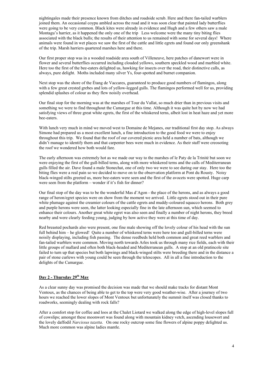nightingales made their presence known from ditches and roadside scrub. Here and there fan-tailed warblers joined them. An occasional coypu ambled across the road and it was soon clear that painted lady butterflies were going to be very common. Black kites were already in evidence and Hugh and a few others saw a male Montagu's harrier, as it happened the only one of the trip Less welcome were the many tiny biting flies associated with the black bulls; the results of their attention to us remained with some for several days! Where animals were found in wet places we saw the first of the cattle and little egrets and found our only greenshank of the trip. Marsh harriers quartered marshes here and there.

Our first proper stop was in a wooded roadside area south of Villeneuve, here patches of danewort were in flower and several butterflies occurred including clouded yellows, southern speckled wood and marbled white. Here too the first of the bee-eaters delighted us, hawking for insects over the road, their distinctive calls, as always, pure delight. Moths included many silver Ys, four-spotted and burnet companion.

Next stop was the shore of the Étang de Vaccares, guaranteed to produce good numbers of flamingos, along with a few great crested grebes and lots of yellow-legged gulls. The flamingos performed well for us, providing splendid splashes of colour as they flew noisily overhead.

Our final stop for the morning was at the marshes of Tour du Vallat, so much drier than in previous visits and something we were to find throughout the Camargue at this time. Although it was quite hot by now we had satisfying views of three great white egrets, the first of the whiskered terns, albeit lost in heat haze and yet more bee-eaters.

With lunch very much in mind we moved west to Domaine de Mejanes, our traditional first day stop. As always Simone had prepared us a most excellent lunch, a fine introduction to the good food we were to enjoy throughout this trip. We found that the roof of our covered picnic area held a number of bats, although we didn't manage to identify them and that carpenter bees were much in evidence. As their staff were creosoting the roof we wondered how both would fare.

The early afternoon was extremely hot as we made our way to the marshes of le Paty de la Trinité but soon we were enjoying the first of the gull-billed terns, along with more whiskered terns and the calls of Mediterranean gulls filled the air. Dave found a male Stonechat, one of only two we were to see during our stay. Here too the biting flies were a real pain so we decided to move on to the observation platform at Pont du Rousty. Noisy black-winged stilts greeted us, more bee-eaters were seen and the first of the avocets were spotted. Huge carp were seen from the platform – wonder if it's fish for dinner?

Our final stop of the day was to be the wonderful Mas d'Agon - the place of the herons, and as always a good range of heron/egret species were on show from the moment we arrived. Little egrets stood out in their pure white plumage against the creamier colours of the cattle egrets and muddy-coloured squacco herons. Both grey and purple herons were seen, the latter looking especially fine in the late afternoon sun, which seemed to enhance their colours. Another great white egret was also seen and finally a number of night herons, they breed nearby and were clearly feeding young, judging by how active they were at this time of day.

Red breasted pochards also were present, one fine male showing off the lovely colour of his head with the sun full behind him – he glowed! Quite a number of whiskered terns were here too and gull-billed terns were noisily displaying, including fish passing. The dense reedbeds held both common and great reed warblers and fan-tailed warblers were common. Moving north towards Arles took us through many rice fields, each with their little groups of mallard and often both black-headed and Mediterranean gulls. A stop at an old pratincole site failed to turn up that species but both lapwings and black-winged stilts were breeding there and in the distance a pair of stone curlews with young could be seen through the telescopes. All in all a fine introduction to the delights of the Camargue.

## **Day 2 - Thursday 29th May**

As a clear sunny day was promised the decision was made that we should make tracks for distant Mont Ventoux, as the chances of being able to get to the top were very good weather-wise. After a journey of two hours we reached the lower slopes of Mont Ventoux but unfortunately the summit itself was closed thanks to roadworks, seemingly dealing with rock falls?

After a comfort stop for coffee and loos at the Chalet Liotard we walked along the edge of high-level slopes full of cowslips; amongst these moonwort was found along with mountain kidney vetch, ascending lousewort and the lovely daffodil *Narcissus tazetta*. On one rocky outcrop some fine flowers of alpine poppy delighted us. Much more common was alpine ladies mantle.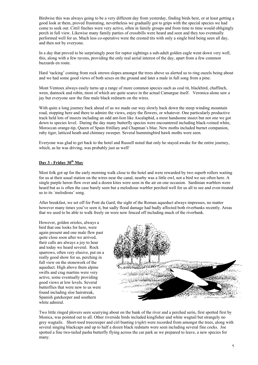Birdwise this was always going to be a very different day from yesterday, finding birds here, or at least getting a good look at them, proved frustrating, nevertheless we gradually got to grips with the special species we had come to seek out. Citril finches were very active, often in family groups and from time to time would obligingly perch in full view. Likewise many family parties of crossbills were heard and seen and they too eventually performed well for us. Much less co-operative were the crested tits with only a single bird being seen all day, and then not by everyone.

In a day that proved to be surprisingly poor for raptor sightings a sub-adult golden eagle went down very well, this, along with a few ravens, providing the only real aerial interest of the day, apart from a few common buzzards en route.

Hard 'tacking' coming from rock strewn slopes amongst the trees above us alerted us to ring ouzels being about and we had some good views of both sexes on the ground and later a male in full song from a pine.

Mont Ventoux always easily turns up a range of more common species such as coal tit, blackbird, chaffinch, wren, dunnock and robin, most of which are quite scarce in the actual Camargue itself. Veronica alone saw a jay but everyone saw the fine male black redstarts on the wires.

With quite a long journey back ahead of us we made our way slowly back down the steep winding mountain road, stopping here and there to admire the views, enjoy the flowers, or whatever. One particularly productive track held lots of insects including an odd ant-lion like Ascalaphid, a most handsome insect but not one we got down to species level. During the day many butterfly species were encountered including black-veined white, Moroccan orange-tip, Queen of Spain fritillary and Chapman's blue. New moths included burnet companion, ruby tiger, latticed heath and chimney sweeper. Several hummingbird hawk moths were seen.

Everyone was glad to get back to the hotel and Russell noted that only he stayed awake for the entire journey, which, as he was driving, was probably just as well!

## **Day 3 - Friday 30th May**

Most folk got up for the early morning walk close to the hotel and were rewarded by two superb rollers waiting for us at their usual station on the wires near the canal, nearby was a little owl, not a bird we see often here. A single purple heron flew over and a dozen kites were seen in the air on one occasion. Sardinian warblers were heard but as is often the case barely seen but a melodious warbler perched well for us all to see and even treated us to its `melodious' song.

After breakfast, we set off for Pont du Gard; the sight of the Roman aqueduct always impresses, no matter however many times you've seen it, but sadly flood damage had badly affected both riverbanks recently. Areas that we used to be able to walk freely on were now fenced off including much of the riverbank.

However, golden orioles, always a bird that one looks for here, were again present and one male flew past quite close soon after we arrived, their calls are always a joy to hear and today we heard several. Rock sparrows, often very elusive, put on a really good show for us, perching in full view on the stonework of the aqueduct. High above them alpine swifts and crag martins were very active, some eventually providing good views at low levels. Several butterflies that were new to us were found including sloe hairstreak, Spanish gatekeeper and southern white admiral.



Two little ringed plovers seen scurrying about on the bank of the river and a perched serin, first spotted first by Monica, was pointed out to all. Other riverside birds included kingfisher and white wagtail but strangely no grey wagtails. Short-toed treecreeper and cirl bunting (*right*) were recorded from amongst the trees, along with several singing blackcaps and up to half a dozen black redstarts were seen including several fine cocks. Joe spotted a fine two-tailed pasha butterfly flying across the car park as we prepared to leave, a new species for many.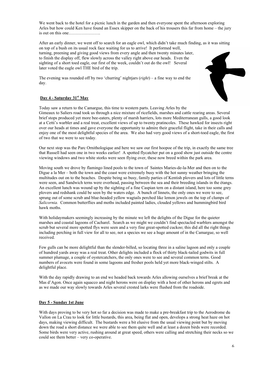We went back to the hotel for a picnic lunch in the garden and then everyone spent the afternoon exploring Arles but how could Ken have found an Essex skipper on the back of his trousers this far from home – the jury is out on this one………………….

After an early dinner, we went off to search for an eagle owl, which didn't take much finding, as it was sitting on top of a bush on its usual rock face waiting for us to arrive! It performed well, turning, preening and giving good views from every angle and then twenty minutes later, to finish the display off, flew slowly across the valley right above our heads. Even the sighting of a short toed eagle, our first of the week, couldn't out do the owl! Several later voted the eagle owl THE bird of the trip.

The evening was rounded off by two 'churring' nightjars (*right*) – a fine way to end the day.



## **Day 4 - Saturday 31st May**

Today saw a return to the Camargue, this time to western parts. Leaving Arles by the Gimeaux to Saliers road took us through a nice mixture of ricefields, marshes and cattle rearing areas. Several brief stops produced yet more bee-eaters, plenty of marsh harriers, lots more Mediterranean gulls, a good look at a Cetti's warbler and a real treat, excellent views of up to twenty pratincoles. These hawked for insects right over our heads at times and gave everyone the opportunity to admire their graceful flight, take in their calls and enjoy one of the most delightful species of the area. We also had very good views of a short-toed eagle, the first of two that we were to see today.

Our next stop was the Parc Ornithologique and here we saw our first hoopoe of the trip, in exactly the same tree that Russell had seen one in two weeks earlier! A spotted flycatcher put on a good show just outside the centre viewing windows and two white storks were seen flying over, these now breed within the park area.

Moving south we drove by flamingo lined pools to the town of Saintes Maries-de-la-Mer and then on to the Digue a la Mer – both the town and the coast were extremely busy with the hot sunny weather bringing the multitudes out on to the beaches. Despite being so busy, family parties of Kentish plovers and lots of little terns were seen, and Sandwich terns were overhead, passing between the sea and their breeding islands in the étangs. An excellent lunch was wound up by the sighting of a fine Caspian tern on a distant island, here too some grey plovers and redshank could be seen by the waters edge. A bunch of linnets, the only ones we were to see, sprung out of some scrub and blue-headed yellow wagtails perched like lemon jewels on the top of clumps of *Salicornia.* Common butterflies and moths included painted ladies, clouded yellows and hummingbird bird hawk moths.

With holidaymakers seemingly increasing by the minute we left the delights of the Digue for the quieter marshes and coastal lagoons of Cacharel. Search as we might we couldn't find spectacled warblers amongst the scrub but several more spotted flys were seen and a very fine great-spotted cuckoo; this did all the right things including perching in full view for all to see, not a species we see a huge amount of in the Camargue, so well received.

Few gulls can be more delightful than the slender-billed, so locating three in a saline lagoon and only a couple of hundred yards away was a real treat. Other delights included a flock of thirty black-tailed godwits in full summer plumage, a couple of oystercatchers, the only ones were to see and several common terns. Good numbers of avocets were found in some lagoons and fresher pools held yet more black-winged stilts. A delightful place.

With the day rapidly drawing to an end we headed back towards Arles allowing ourselves a brief break at the Mas d'Agon. Once again squacco and night herons were on display with a host of other herons and egrets and as we made our way slowly towards Arles several crested larks were flushed from the roadside.

#### **Day 5 - Sunday 1st June**

With days proving to be very hot so far a decision was made to make a pre-breakfast trip to the Aerodrome du Vallon on La Crau to look for little bustards, this area, being flat and open, develops a strong heat haze on hot days, making viewing difficult. The bustards were a bit elusive from the usual viewing point but by moving down the road a short distance we were able to see them quite well and at least a dozen birds were recorded. Some birds were very active, rushing around at great speed, others were calling and stretching their necks so we could see them better – very co-operative.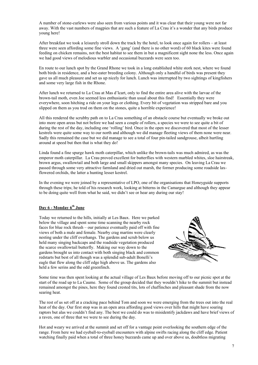A number of stone-curlews were also seen from various points and it was clear that their young were not far away. With the vast numbers of magpies that are such a feature of La Crau it's a wonder that any birds produce young here!

After breakfast we took a leisurely stroll down the track by the hotel, to look once again for rollers – at least three were seen affording some fine views. A 'gang' (and there is no other word) of 60 black kites were found feeding on chicken remains, not the best habitat to see them in but a magnificent sight none the less. Once again we had good views of melodious warbler and occasional buzzards were seen too.

En route to our lunch spot by the Grand Rhone we took in a long established white stork nest, where we found both birds in residence, and a bee-eater breeding colony. Although only a handful of birds was present they gave us all much pleasure and set us up nicely for lunch. Lunch was interrupted by two sightings of kingfishers and some very large fish in the Rhone.

After lunch we returned to La Crau at Mas d'lcart, only to find the entire area alive with the larvae of the brown-tail moth, even Joe seemed less enthusiastic than usual about this find! Essentially they were everywhere, soon hitching a ride on your legs or clothing. Every bit of vegetation was stripped bare and you slipped on them as you trod on them on the stones, quite a horrible experience!

All this rendered the scrubby path on to La Crau something of an obstacle course but eventually we broke out into more open areas but not before we had seen a couple of rollers, a species we were to see quite a bit of during the rest of the day, including one 'rolling' bird. Once in the open we discovered that most of the lesser kestrels were quite some way to our north and although we did manage fleeting views of them none were near. Sadly this remained the case but we did manage to see a total of four pin-tailed sandgrouse, albeit hurtling around at speed but then that is what they do!

Linda found a fine spurge hawk moth caterpillar, which unlike the brown-tails was much admired, as was the emperor moth caterpillar. La Crau proved excellent for butterflies with western marbled whites, sloe hairstreak, brown argus, swallowtail and both large and small skippers amongst many species. On leaving La Crau we passed through some very attractive farmland and dried out marsh, the former producing some roadside laxflowered orchids, the latter a hunting lesser kestrel.

In the evening we were joined by a representative of LPO, one of the organisations that Honeyguide supports through these trips; he told of his research work, looking at bitterns in the Camargue and although they appear to be doing quite well from what he said, we didn't see or hear any during our stay!

# **Day 6 - Monday 6th June**

Today we returned to the hills, initially at Les Baux. Here we parked below the village and spent some time scanning the nearby rock faces for blue rock thrush – our patience eventually paid off with fine views of both a male and female. Nearby crag martins were clearly nesting under the cliff overhangs. The gardens and scrub below us held many singing backcaps and the roadside vegetation produced the scarce swallowtail butterfly. Making our way down to the gardens brought us into contact with both singing black and common redstarts but best of all though was a splendid sub-adult Bonelli's eagle that flew along the cliff edge high above us. The gardens also held a few serins and the odd greenfinch.



Some time was then spent looking at the actual village of Les Baux before moving off to our picnic spot at the start of the road up to La Caume. Some of the group decided that they wouldn't hike to the summit but instead remained amongst the pines, here they found crested tits, lots of chaffinches and pleasant shade from the now searing heat.

The rest of us set off at a cracking pace behind Tom and soon we were emerging from the trees out into the real heat of the day. Our first stop was in an open area affording good views over hills that might have soaring raptors but alas we couldn't find any. The best we could do was to misidentify jackdaws and have brief views of a raven, one of three that we were to see during the day.

Hot and weary we arrived at the summit and set off for a vantage point overlooking the southern edge of the range. From here we had eyeball-to-eyeball encounters with alpine swifts racing along the cliff edge. Patient watching finally paid when a total of three honey buzzards came up and over above us, doubtless migrating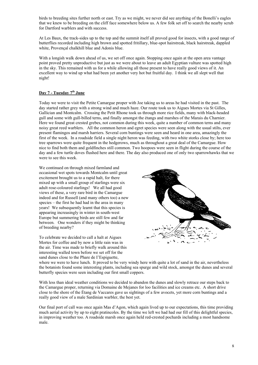birds to breeding sites further north or east. Try as we might, we never did see anything of the Bonelli's eagles that we knew to be breeding on the cliff face somewhere below us. A few folk set off to search the nearby scrub for Dartford warblers and with success.

At Les Baux, the track-sides up to the top and the summit itself all proved good for insects, with a good range of butterflies recorded including high brown and spotted fritillary, blue-spot hairstreak, black hairstreak, dappled white, Provençal chalkhill blue and Adonis blue.

With a longish walk down ahead of us, we set off once again. Stopping once again at the open area vantage point proved pretty unproductive but just as we were about to leave an adult Egyptian vulture was spotted high in the sky. This remained with us for a while allowing all those present to have really good views of it. An excellent way to wind up what had been yet another very hot but fruitful day. I think we all slept well that night!

# **Day 7 - Tuesday 7th June**

Today we were to visit the Petite Camargue proper with Joe taking us to areas he had visited in the past. The day started rather grey with a strong wind and much haze. Our route took us to Aigues Mortes via St Gilles, Gallician and Montcalm. Crossing the Petit Rhone took us through more rice fields, many with black-headed gull and some with gull-billed terns, and finally amongst the étangs and marshes of the Marais du Charnier. Here we found great crested grebes, not common during this week, quite a number of common terns and many noisy great reed warblers. All the common heron and egret species were seen along with the usual stilts, ever present flamingos and marsh harriers. Several corn buntings were seen and heard in one area, amazingly the first of the week. In a roadside field a single night heron was feeding, with two white storks close by; here too tree sparrows were quite frequent in the hedgerows, much as throughout a great deal of the Camargue. How nice to find both them and goldfinches still common. Two hoopoes were seen in flight during the course of the day and a few turtle doves flushed here and there. The day also produced one of only two sparrowhawks that we were to see this week.

We continued on through mixed farmland and occasional wet spots towards Montcalm until great excitement brought us to a rapid halt, for there mixed up with a small group of starlings were six adult rose-coloured starlings! We all had good views of these, a very rare bird in the Camargue indeed and for Russell (and many others too) a new species – the first he had had in the area in many years! We subsequently learnt that this species is appearing increasingly in winter in south-west Europe but summering birds are still few and far between. One wonders if they might be thinking of breeding nearby?

To celebrate we decided to call a halt at Aigues Mortes for coffee and by now a little rain was in the air. Time was made to briefly walk around this interesting walled town before we set off for the sand dunes close to the Phare de I'Espiguette,



where we were to have lunch. It proved to be very windy here with quite a lot of sand in the air, nevertheless the botanists found some interesting plants, including sea spurge and wild stock, amongst the dunes and several butterfly species were seen including our first small coppers.

With less than ideal weather conditions we decided to abandon the dunes and slowly retrace our steps back to the Camargue proper, returning via Domaine de Mejanes for loo facilities and ice creams etc. A short drive close to the shore of the Étang de Vaccares gave us sightings of a few avocets, yet more corn buntings and a really good view of a male Sardinian warbler, the best yet.

Our final port of call was once again Mas d'Agon, which again lived up to our expectations, this time providing much aerial activity by up to eight pratincoles. By the time we left we had had our fill of this delightful species, in improving weather too. A roadside marsh once again held red-crested pochards including a most handsome male.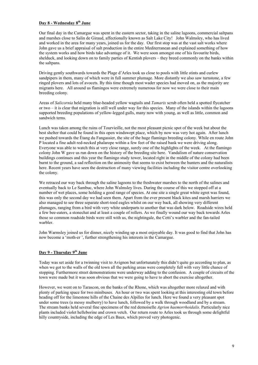# **Day 8 - Wednesday 8th June**

Our final day in the Camargue was spent in the eastern sector, taking in the saline lagoons, commercial saltpans and marshes close to Salin de Giraud, affectionally known as Salt Lake City! John Walmsley, who has lived and worked in the area for many years, joined us for the day. Our first stop was at the vast salt works where John gave us a brief appraisal of salt production in the entire Mediterranean and explained something of how the system works and how birds take advantage of it. We were soon amongst one of his favourite birds, shelduck, and looking down on to family parties of Kentish plovers – they breed commonly on the banks within the saltpans.

Driving gently southwards towards the Plage d'Arles took us close to pools with little stints and curlew sandpipers in them, many of which were in full summer plumage. More distantly we also saw turnstone, a few ringed plovers and lots of avocets. By this time though most wader species had moved on, as the majority are migrants here. All around us flamingos were extremely numerous for now we were close to their main breeding colony.

Areas of *Salicornia* held many blue-headed yellow wagtails and *Tamarix* scrub often held a spotted flycatcher or two – it is clear that migration is still well under way for this species. Many of the islands within the lagoons supported breeding populations of yellow-legged gulls, many now with young, as well as little, common and sandwich terns.

Lunch was taken among the ruins of Tourvieille, not the most pleasant picnic spot of the week but about the best shelter that could be found in this open windswept place, which by now was very hot again. After lunch we pushed towards the Étang du Fangassier, the site of the huge flamingo breeding colony. While en route John P located a fine adult red-necked phalarope within a few feet of the raised bank we were driving along. Everyone was able to watch this at very close range, surely one of the highlights of the week. At the flamingo colony John W gave us run down on the history of the breeding site here. Vandalism of nature conservation buildings continues and this year the flamingo study tower, located right in the middle of the colony had been burnt to the ground, a sad reflection on the animosity that seems to exist between the hunters and the naturalists here. Recent years have seen the destruction of many viewing facilities including the visitor centre overlooking the colony.

We retraced our way back through the saline lagoons to the freshwater marshes to the north of the salines and eventually back to Le Sambuc, where John Walmsley lives. During the course of this we stopped off at a number of wet places, some holding a good range of species. At one site a single great white egret was found, this was only the second day we had seen them. Apart from the ever present black kites and marsh harriers we also managed to see three separate short-toed eagles whilst on our way back, all showing very different plumages, ranging from a bird with very white underparts to another that was dark below. Roadside wires held a few bee-eaters, a stonechat and at least a couple of rollers. As we finally wound our way back towards Arles those so common roadside birds were still with us, the nightingale, the Cetti's warbler and the fan-tailed warbler.

John Warmsley joined us for dinner, nicely winding up a most enjoyable day. It was good to find that John has now become a 'moth-er ', further strengthening his interests in the Camargue.

## **Day 9 - Thursday 9th June**

Today was set aside for a twinning visit to Avignon but unfortunately this didn't quite go according to plan, as when we got to the walls of the old town all the parking areas were completely full with very little chance of stopping. Furthermore street demonstrations were underway adding to the confusion. A couple of circuits of the town were made but it was soon obvious that we were going to have to abort the exercise altogether.

However, we went on to Tarascon, on the banks of the Rhone, which was altogether more relaxed and with plenty of parking space for two minibuses. An hour or two was spent looking at this interesting old town before heading off for the limestone hills of the Chaine des Alpilles for lunch. Here we found a very pleasant spot under some trees (a messy mulberry) to have lunch, followed by a walk through woodland and by a stream. The stream banks held several fine specimens of the red demoiselle *Agrion haemorrhoidalis.* Particularly nice plants included violet helleborine and crown vetch. Our return route to Arles took us through some delightful hilly countryside, including the edge of Les Baux, which proved very photogenic.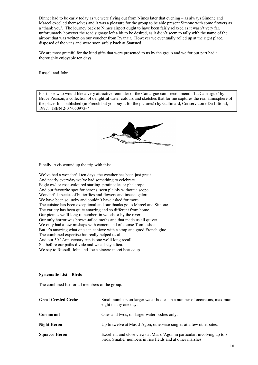Dinner had to be early today as we were flying out from Nimes later that evening – as always Simone and Marcel excelled themselves and it was a pleasure for the group to be able present Simone with some flowers as a 'thank you'. The journey back to Nimes airport ought to have been fairly relaxed as it wasn't very far, unfortunately however the road signage left a bit to be desired, as it didn't seem to tally with the name of the airport that was written on our voucher from Ryanair. However we eventually rolled up at the right place, disposed of the vans and were soon safely back at Stansted.

We are most grateful for the kind gifts that were presented to us by the group and we for our part had a thoroughly enjoyable ten days.

Russell and John.

For those who would like a very attractive reminder of the Camargue can I recommend 'La Camargue' by Bruce Pearson, a collection of delightful water colours and sketches that for me captures the real atmosphere of the place. It is published (in French but you buy it for the pictures!) by Gallimard, Conservatoire Du Littoral, 1997. ISBN 2-07-050973-7



Finally, Avis wound up the trip with this:

We've had a wonderful ten days, the weather has been just great And nearly everyday we've had something to celebrate. Eagle owl or rose-coloured starling, pratincoles or phalarope And our favourite spot for herons, seen plainly without a scope. Wonderful species of butterflies and flowers and insects galore We have been so lucky and couldn't have asked for more. The cuisine has been exceptional and our thanks go to Marcel and Simone The variety has been quite amazing and so different from home. Our picnics we'll long remember, in woods or by the river. Our only horror was brown-tailed moths and that made us all quiver. We only had a few mishaps with camera and of course Tom's shoe But it's amazing what one can achieve with a strap and good French glue. The combined expertise has really helped us all And our  $50<sup>th</sup>$  Anniversary trip is one we'll long recall. So, before our paths divide and we all say adieu. We say to Russell, John and Joe a sincere merci beaucoup.

#### **Systematic List – Birds**

The combined list for all members of the group.

| <b>Great Crested Grebe</b> | Small numbers on larger water bodies on a number of occasions, maximum<br>eight in any one day.                                         |
|----------------------------|-----------------------------------------------------------------------------------------------------------------------------------------|
| Cormorant                  | Ones and twos, on larger water bodies only.                                                                                             |
| Night Heron                | Up to twelve at Mas d'Agon, otherwise singles at a few other sites.                                                                     |
| <b>Squacco Heron</b>       | Excellent and close views at Mas d'Agon in particular, involving up to 8<br>birds. Smaller numbers in rice fields and at other marshes. |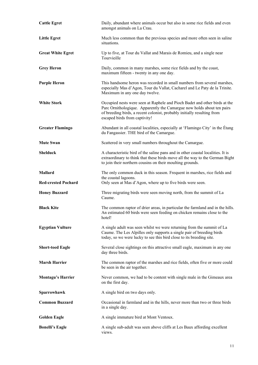| <b>Cattle Egret</b>                          | Daily, abundant where animals occur but also in some rice fields and even<br>amongst animals on La Crau.                                                                                                                                                         |
|----------------------------------------------|------------------------------------------------------------------------------------------------------------------------------------------------------------------------------------------------------------------------------------------------------------------|
| <b>Little Egret</b>                          | Much less common than the previous species and more often seen in saline<br>situations.                                                                                                                                                                          |
| <b>Great White Egret</b>                     | Up to five, at Tour du Vallat and Marais de Romieu, and a single near<br>Tourvieille                                                                                                                                                                             |
| <b>Grey Heron</b>                            | Daily, common in many marshes, some rice fields and by the coast,<br>maximum fifteen - twenty in any one day.                                                                                                                                                    |
| <b>Purple Heron</b>                          | This handsome heron was recorded in small numbers from several marshes,<br>especially Mas d'Agon, Tour du Vallat, Cacharel and Le Paty de la Trinite.<br>Maximum in any one day twelve.                                                                          |
| <b>White Stork</b>                           | Occupied nests were seen at Raphele and Pioch Badet and other birds at the<br>Parc Ornithologique. Apparently the Camargue now holds about ten pairs<br>of breeding birds, a recent colonist, probably initially resulting from<br>escaped birds from captivity! |
| <b>Greater Flamingo</b>                      | Abundant in all coastal localities, especially at 'Flamingo City' in the Étang<br>du Fangassier. THE bird of the Camargue.                                                                                                                                       |
| <b>Mute Swan</b>                             | Scattered in very small numbers throughout the Camargue.                                                                                                                                                                                                         |
| <b>Shelduck</b>                              | A characteristic bird of the saline pans and in other coastal localities. It is<br>extraordinary to think that these birds move all the way to the German Bight<br>to join their northern cousins on their moulting grounds.                                     |
| <b>Mallard</b><br><b>Red-crested Pochard</b> | The only common duck in this season. Frequent in marshes, rice fields and<br>the coastal lagoons.<br>Only seen at Mas d'Agon, where up to five birds were seen.                                                                                                  |
| <b>Honey Buzzard</b>                         | Three migrating birds were seen moving north, from the summit of La<br>Caume.                                                                                                                                                                                    |
| <b>Black Kite</b>                            | The common raptor of drier areas, in particular the farmland and in the hills.<br>An estimated 60 birds were seen feeding on chicken remains close to the<br>hotel!                                                                                              |
| <b>Egyptian Vulture</b>                      | A single adult was seen whilst we were returning from the summit of La<br>Caume. The Les Alpilles only supports a single pair of breeding birds<br>today, so we were lucky to see this bird close to its breeding site.                                          |
| <b>Short-toed Eagle</b>                      | Several close sightings on this attractive small eagle, maximum in any one<br>day three birds.                                                                                                                                                                   |
| <b>Marsh Harrier</b>                         | The common raptor of the marshes and rice fields, often five or more could<br>be seen in the air together.                                                                                                                                                       |
| <b>Montagu's Harrier</b>                     | Never common, we had to be content with single male in the Gimeaux area<br>on the first day.                                                                                                                                                                     |
| Sparrowhawk                                  | A single bird on two days only.                                                                                                                                                                                                                                  |
| <b>Common Buzzard</b>                        | Occasional in farmland and in the hills, never more than two or three birds<br>in a single day.                                                                                                                                                                  |
| <b>Golden Eagle</b>                          | A single immature bird at Mont Ventoux.                                                                                                                                                                                                                          |
| <b>Bonelli's Eagle</b>                       | A single sub-adult was seen above cliffs at Les Baux affording excellent<br>views.                                                                                                                                                                               |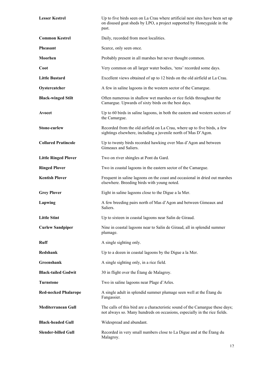| <b>Lesser Kestrel</b>       | Up to five birds seen on La Crau where artificial nest sites have been set up<br>on disused goat sheds by LPO, a project supported by Honeyguide in the<br>past. |
|-----------------------------|------------------------------------------------------------------------------------------------------------------------------------------------------------------|
| <b>Common Kestrel</b>       | Daily, recorded from most localities.                                                                                                                            |
| <b>Pheasant</b>             | Scarce, only seen once.                                                                                                                                          |
| Moorhen                     | Probably present in all marshes but never thought common.                                                                                                        |
| Coot                        | Very common on all larger water bodies, 'tens' recorded some days.                                                                                               |
| <b>Little Bustard</b>       | Excellent views obtained of up to 12 birds on the old airfield at La Crau.                                                                                       |
| Oystercatcher               | A few in saline lagoons in the western sector of the Camargue.                                                                                                   |
| <b>Black-winged Stilt</b>   | Often numerous in shallow wet marshes or rice fields throughout the<br>Camargue. Upwards of sixty birds on the best days.                                        |
| Avocet                      | Up to 60 birds in saline lagoons, in both the eastern and western sectors of<br>the Camargue.                                                                    |
| <b>Stone-curlew</b>         | Recorded from the old airfield on La Crau, where up to five birds, a few<br>sightings elsewhere, including a juvenile north of Mas D'Agon.                       |
| <b>Collared Pratincole</b>  | Up to twenty birds recorded hawking over Mas d'Agon and between<br>Gimeaux and Saliers.                                                                          |
| <b>Little Ringed Plover</b> | Two on river shingles at Pont du Gard.                                                                                                                           |
| <b>Ringed Plover</b>        | Two in coastal lagoons in the eastern sector of the Camargue.                                                                                                    |
| <b>Kentish Plover</b>       | Frequent in saline lagoons on the coast and occasional in dried out marshes<br>elsewhere. Breeding birds with young noted.                                       |
| <b>Grey Plover</b>          | Eight in saline lagoons close to the Digue a la Mer.                                                                                                             |
| Lapwing                     | A few breeding pairs north of Mas d'Agon and between Gimeaux and<br>Saliers.                                                                                     |
| <b>Little Stint</b>         | Up to sixteen in coastal lagoons near Salin de Giraud.                                                                                                           |
| <b>Curlew Sandpiper</b>     | Nine in coastal lagoons near to Salin de Giraud, all in splendid summer<br>plumage.                                                                              |
| <b>Ruff</b>                 | A single sighting only.                                                                                                                                          |
| Redshank                    | Up to a dozen in coastal lagoons by the Digue a la Mer.                                                                                                          |
| Greenshank                  | A single sighting only, in a rice field.                                                                                                                         |
| <b>Black-tailed Godwit</b>  | 30 in flight over the Étang de Malagroy.                                                                                                                         |
| <b>Turnstone</b>            | Two in saline lagoons near Plage d'Arles.                                                                                                                        |
| <b>Red-necked Phalarope</b> | A single adult in splendid summer plumage seen well at the Etang du<br>Fangassier.                                                                               |
| <b>Mediterranean Gull</b>   | The calls of this bird are a characteristic sound of the Camargue these days;<br>not always so. Many hundreds on occasions, especially in the rice fields.       |
| <b>Black-headed Gull</b>    | Widespread and abundant.                                                                                                                                         |
| <b>Slender-billed Gull</b>  | Recorded in very small numbers close to La Digue and at the Etang du<br>Malagroy.                                                                                |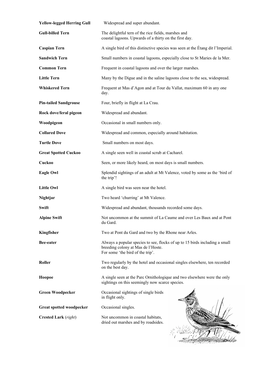| <b>Yellow-legged Herring Gull</b> | Widespread and super abundant.                                                                                                                        |
|-----------------------------------|-------------------------------------------------------------------------------------------------------------------------------------------------------|
| <b>Gull-billed Tern</b>           | The delightful tern of the rice fields, marshes and<br>coastal lagoons. Upwards of a thirty on the first day.                                         |
| <b>Caspian Tern</b>               | A single bird of this distinctive species was seen at the Etang dit l'Imperial.                                                                       |
| <b>Sandwich Tern</b>              | Small numbers in coastal lagoons, especially close to St Maries de la Mer.                                                                            |
| <b>Common Tern</b>                | Frequent in coastal lagoons and over the larger marshes.                                                                                              |
| <b>Little Tern</b>                | Many by the Digue and in the saline lagoons close to the sea, widespread.                                                                             |
| <b>Whiskered Tern</b>             | Frequent at Mas d'Agon and at Tour du Vallat, maximum 60 in any one<br>day.                                                                           |
| <b>Pin-tailed Sandgrouse</b>      | Four, briefly in flight at La Crau.                                                                                                                   |
| Rock dove/feral pigeon            | Widespread and abundant.                                                                                                                              |
| Woodpigeon                        | Occasional in small numbers only.                                                                                                                     |
| <b>Collared Dove</b>              | Widespread and common, especially around habitation.                                                                                                  |
| <b>Turtle Dove</b>                | Small numbers on most days.                                                                                                                           |
| <b>Great Spotted Cuckoo</b>       | A single seen well in coastal scrub at Cacharel.                                                                                                      |
| Cuckoo                            | Seen, or more likely heard, on most days is small numbers.                                                                                            |
| <b>Eagle Owl</b>                  | Splendid sightings of an adult at Mt Valence, voted by some as the 'bird of<br>the trip'!                                                             |
| <b>Little Owl</b>                 | A single bird was seen near the hotel.                                                                                                                |
| Nightjar                          | Two heard 'churring' at Mt Valence.                                                                                                                   |
| Swift                             | Widespread and abundant, thousands recorded some days.                                                                                                |
| <b>Alpine Swift</b>               | Not uncommon at the summit of La Caume and over Les Baux and at Pont<br>du Gard.                                                                      |
| Kingfisher                        | Two at Pont du Gard and two by the Rhone near Arles.                                                                                                  |
| Bee-eater                         | Always a popular species to see, flocks of up to 15 birds including a small<br>breeding colony at Mas de l'Hoste.<br>For some 'the bird of the trip'. |
| Roller                            | Two regularly by the hotel and occasional singles elsewhere, ten recorded<br>on the best day.                                                         |
| Hoopoe                            | A single seen at the Parc Ornithologique and two elsewhere were the only<br>sightings on this seemingly now scarce species.                           |
| <b>Green Woodpecker</b>           | Occasional sightings of single birds<br>in flight only.                                                                                               |
| <b>Great spotted woodpecker</b>   | Occasional singles.                                                                                                                                   |
| <b>Crested Lark</b> (right)       | Not uncommon in coastal habitats,<br>dried out marshes and by roadsides.                                                                              |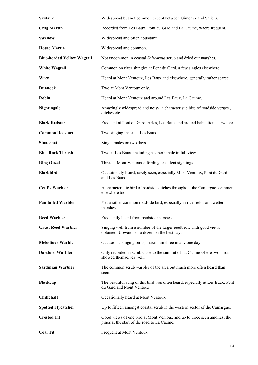| <b>Skylark</b>                    | Widespread but not common except between Gimeaux and Saliers.                                                          |
|-----------------------------------|------------------------------------------------------------------------------------------------------------------------|
| <b>Crag Martin</b>                | Recorded from Les Baux, Pont du Gard and La Caume, where frequent.                                                     |
| <b>Swallow</b>                    | Widespread and often abundant.                                                                                         |
| <b>House Martin</b>               | Widespread and common.                                                                                                 |
| <b>Blue-headed Yellow Wagtail</b> | Not uncommon in coastal Salicornia scrub and dried out marshes.                                                        |
| <b>White Wagtail</b>              | Common on river shingles at Pont du Gard, a few singles elsewhere.                                                     |
| Wren                              | Heard at Mont Ventoux, Les Baux and elsewhere, generally rather scarce.                                                |
| <b>Dunnock</b>                    | Two at Mont Ventoux only.                                                                                              |
| Robin                             | Heard at Mont Ventoux and around Les Baux, La Caume.                                                                   |
| Nightingale                       | Amazingly widespread and noisy, a characteristic bird of roadside verges,<br>ditches etc.                              |
| <b>Black Redstart</b>             | Frequent at Pont du Gard, Arles, Les Baux and around habitation elsewhere.                                             |
| <b>Common Redstart</b>            | Two singing males at Les Baux.                                                                                         |
| <b>Stonechat</b>                  | Single males on two days.                                                                                              |
| <b>Blue Rock Thrush</b>           | Two at Les Baux, including a superb male in full view.                                                                 |
| <b>Ring Ouzel</b>                 | Three at Mont Ventoux affording excellent sightings.                                                                   |
| <b>Blackbird</b>                  | Occasionally heard, rarely seen, especially Mont Ventoux, Pont du Gard<br>and Les Baux.                                |
| <b>Cetti's Warbler</b>            | A characteristic bird of roadside ditches throughout the Camargue, common<br>elsewhere too.                            |
| <b>Fan-tailed Warbler</b>         | Yet another common roadside bird, especially in rice fields and wetter<br>marshes.                                     |
| <b>Reed Warbler</b>               | Frequently heard from roadside marshes.                                                                                |
| <b>Great Reed Warbler</b>         | Singing well from a number of the larger reedbeds, with good views<br>obtained. Upwards of a dozen on the best day.    |
| <b>Melodious Warbler</b>          | Occasional singing birds, maximum three in any one day.                                                                |
| <b>Dartford Warbler</b>           | Only recorded in scrub close to the summit of La Caume where two birds<br>showed themselves well.                      |
| <b>Sardinian Warbler</b>          | The common scrub warbler of the area but much more often heard than<br>seen.                                           |
| <b>Blackcap</b>                   | The beautiful song of this bird was often heard, especially at Les Baux, Pont<br>du Gard and Mont Ventoux.             |
| Chiffchaff                        | Occasionally heard at Mont Ventoux.                                                                                    |
| <b>Spotted Flycatcher</b>         | Up to fifteen amongst coastal scrub in the western sector of the Camargue.                                             |
| <b>Crested Tit</b>                | Good views of one bird at Mont Ventoux and up to three seen amongst the<br>pines at the start of the road to La Caume. |
| <b>Coal Tit</b>                   | Frequent at Mont Ventoux.                                                                                              |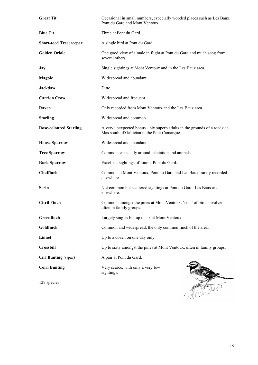| <b>Great Tit</b>              | Occasional in small numbers, especially wooded places such as Les Baux,<br>Pont du Gard and Mont Ventoux.                   |
|-------------------------------|-----------------------------------------------------------------------------------------------------------------------------|
| <b>Blue Tit</b>               | Three at Pont du Gard.                                                                                                      |
| <b>Short-toed Treecreeper</b> | A single bird at Pont du Gard.                                                                                              |
| <b>Golden Oriole</b>          | One good view of a male in flight at Pont du Gard and much song from<br>several others.                                     |
| <b>Jay</b>                    | Single sightings at Mont Ventoux and in the Les Baux area.                                                                  |
| <b>Magpie</b>                 | Widespread and abundant.                                                                                                    |
| <b>Jackdaw</b>                | Ditto                                                                                                                       |
| <b>Carrion Crow</b>           | Widespread and frequent.                                                                                                    |
| Raven                         | Only recorded from Mont Ventoux and the Les Baux area.                                                                      |
| <b>Starling</b>               | Widespread and common.                                                                                                      |
| <b>Rose-coloured Starling</b> | A very unexpected bonus $-$ six superb adults in the grounds of a roadside<br>Mas south of Gallician in the Petit Camargue. |
| <b>House Sparrow</b>          | Widespread and abundant.                                                                                                    |
| <b>Tree Sparrow</b>           | Common, especially around habitation and animals.                                                                           |
| <b>Rock Sparrow</b>           | Excellent sightings of four at Pont du Gard.                                                                                |
| Chaffinch                     | Common at Mont Ventoux, Pont du Gard and Les Baux, rarely recorded<br>elsewhere.                                            |
| <b>Serin</b>                  | Not common but scattered sightings at Pont du Gard, Les Baux and<br>elsewhere.                                              |
| <b>Citril Finch</b>           | Common amongst the pines at Mont Ventoux, 'tens' of birds involved,<br>often in family groups.                              |
| Greenfinch                    | Largely singles but up to six at Mont Ventoux.                                                                              |
| Goldfinch                     | Common and widespread, the only common finch of the area.                                                                   |
| Linnet                        | Up to a dozen on one day only.                                                                                              |
| Crossbill                     | Up to sixty amongst the pines at Mont Ventoux, often in family groups.                                                      |
| Cirl Bunting (right)          | A pair at Pont du Gard.                                                                                                     |
| <b>Corn Bunting</b>           | Very scarce, with only a very few<br>sightings.                                                                             |
| 129 species                   |                                                                                                                             |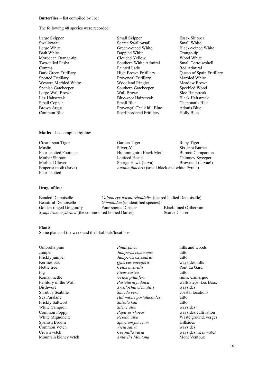#### **Butterflies** – list compiled by Joe:

The following 48 species were recorded:

Large Skipper Small Skipper Essex Skipper Swallowtail Scarce Swallowtail Scarce Swallowtail Small White Large Wall Brown

Large White Green-veined White Black-veined White Bath White Dappled White Orange-tip Moroccan Orange-tip Clouded Yellow Wood White States and Moroccan Orange-tip Clouded Yellow Wood White States and Moroccan Orange-tip Clouded Yellow Wood White States and Moroccan Orange Moroccan Orange-tip Clouded Yellow Wood White Two-tailed Pasha Southern White Admiral Small Tortoiseshell Comma Painted Lady Red Admiral Dark Green Fritillary High Brown Fritillary Queen of Spain Fritillary Spotted Fritillary **Provencal Fritillary** Marbled White Western Marbled White Woodland Ringlet Meadow Brown<br>
Spanish Gatekeeper Southern Gatekeeper Speckled Wood Spanish Gatekeeper Southern Gatekeeper Speckled Wood<br>
Large Wall Brown Wall Brown Sloe Hairstreak Ilex Hairstreak Blue-spot Hairstreak Black Hairstreak Brown Argus Provençal Chalk hill Blue Common Blue Pearl-bordered Fritillary Holly Blue

Chapman's Blue<br>Adonis Blue

#### **Moths –** list compiled by Joe:

Cream-spot Tiger Garden Tiger Garden Tiger Ruby Tiger Muslin Silver-Y Six-spot Burnet Four-spotted Footman Hummingbird Hawk Moth Burnett Companion Mother Shipton Latticed Heath Chimney Sweeper Marbled Clover Spurge Hawk (larva) Browntail (larvae!) Emperor moth (larva) *Anania funebris* (small black and white Pyrale) Four-spotted

#### **Dragonflies:**

Banded Demoiselle *Calopteryx haemorrhoidalis* (the red bodied Demoiselle)<br>Beautiful Demoiselle *Gomphidae* (unidentified species) Gomphidae (unidentified species)<br>Four-spotted Chaser Golden ringed Dragonfly Four-spotted Chaser Black-lined Orthetrum *Sympetrum erythraea* (the common red bodied Darter) Scarce Chaser

#### **Plants**

Some plants of the week and their habitats/locations:

Umbrella pine *Pinus pinea* hills and woods Juniper *Juniperus communis* ditto Prickly juniper *Juniperus oxycedrus* ditto Kermes oak *Quercus coccifera* waysides,hills Nettle tree *Celtis australis* Pont du Gard Fig *Ficus carica* ditto Roman nettle *Urtica pilulifera* ruins, Camargue Pellitory of the Wall *Parietaria judaica* walls,steps, Les Baux Birthwort *Aristlochia clematitis* waysides Shrubby Seablite *Suaeda vera* coastal locations Sea Purslane *Halimione portulacoides* ditto Prickly Saltwort *Salsola kali* ditto White Campion *Silene alba* waysides Common Poppy *Papaver rhoeas* waysides,cultivation White Mignonette *Reseda alba* Waste ground, verges Spanish Broom *Spartium junceum* Hillsides Common Vetch *Vicia sativa* waysides Crown vetch *Coronilla varia* waysides, near water Mountain kidney vetch *Anthyllis Montana* Mont Ventoux